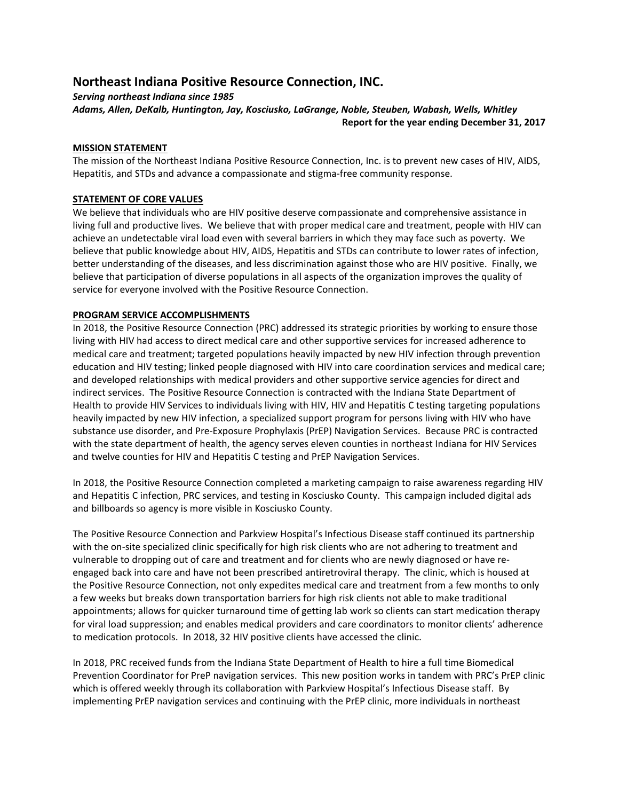# Northeast Indiana Positive Resource Connection, INC.

Serving northeast Indiana since 1985

Adams, Allen, DeKalb, Huntington, Jay, Kosciusko, LaGrange, Noble, Steuben, Wabash, Wells, Whitley Report for the year ending December 31, 2017

### MISSION STATEMENT

The mission of the Northeast Indiana Positive Resource Connection, Inc. is to prevent new cases of HIV, AIDS, Hepatitis, and STDs and advance a compassionate and stigma-free community response.

# STATEMENT OF CORE VALUES

We believe that individuals who are HIV positive deserve compassionate and comprehensive assistance in living full and productive lives. We believe that with proper medical care and treatment, people with HIV can achieve an undetectable viral load even with several barriers in which they may face such as poverty. We believe that public knowledge about HIV, AIDS, Hepatitis and STDs can contribute to lower rates of infection, better understanding of the diseases, and less discrimination against those who are HIV positive. Finally, we believe that participation of diverse populations in all aspects of the organization improves the quality of service for everyone involved with the Positive Resource Connection.

# PROGRAM SERVICE ACCOMPLISHMENTS

In 2018, the Positive Resource Connection (PRC) addressed its strategic priorities by working to ensure those living with HIV had access to direct medical care and other supportive services for increased adherence to medical care and treatment; targeted populations heavily impacted by new HIV infection through prevention education and HIV testing; linked people diagnosed with HIV into care coordination services and medical care; and developed relationships with medical providers and other supportive service agencies for direct and indirect services. The Positive Resource Connection is contracted with the Indiana State Department of Health to provide HIV Services to individuals living with HIV, HIV and Hepatitis C testing targeting populations heavily impacted by new HIV infection, a specialized support program for persons living with HIV who have substance use disorder, and Pre-Exposure Prophylaxis (PrEP) Navigation Services. Because PRC is contracted with the state department of health, the agency serves eleven counties in northeast Indiana for HIV Services and twelve counties for HIV and Hepatitis C testing and PrEP Navigation Services.

In 2018, the Positive Resource Connection completed a marketing campaign to raise awareness regarding HIV and Hepatitis C infection, PRC services, and testing in Kosciusko County. This campaign included digital ads and billboards so agency is more visible in Kosciusko County.

The Positive Resource Connection and Parkview Hospital's Infectious Disease staff continued its partnership with the on-site specialized clinic specifically for high risk clients who are not adhering to treatment and vulnerable to dropping out of care and treatment and for clients who are newly diagnosed or have reengaged back into care and have not been prescribed antiretroviral therapy. The clinic, which is housed at the Positive Resource Connection, not only expedites medical care and treatment from a few months to only a few weeks but breaks down transportation barriers for high risk clients not able to make traditional appointments; allows for quicker turnaround time of getting lab work so clients can start medication therapy for viral load suppression; and enables medical providers and care coordinators to monitor clients' adherence to medication protocols. In 2018, 32 HIV positive clients have accessed the clinic.

In 2018, PRC received funds from the Indiana State Department of Health to hire a full time Biomedical Prevention Coordinator for PreP navigation services. This new position works in tandem with PRC's PrEP clinic which is offered weekly through its collaboration with Parkview Hospital's Infectious Disease staff. By implementing PrEP navigation services and continuing with the PrEP clinic, more individuals in northeast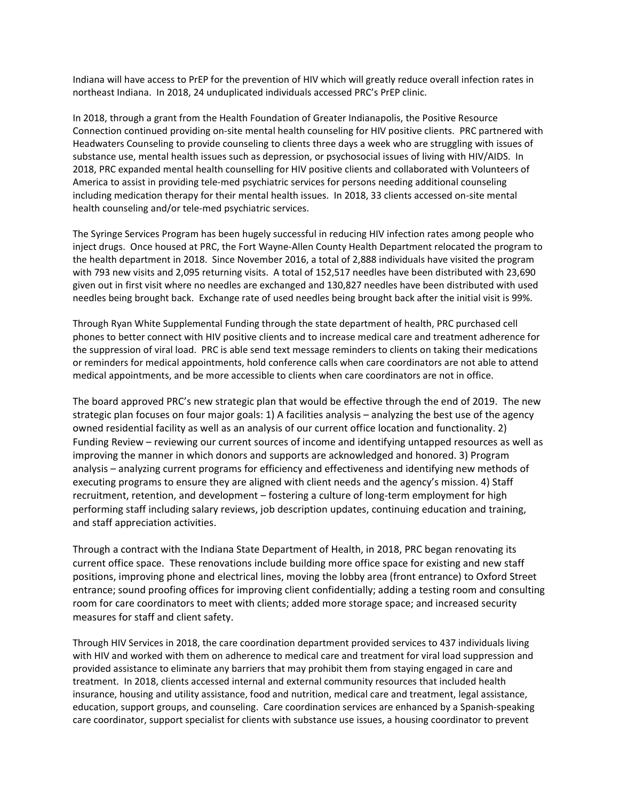Indiana will have access to PrEP for the prevention of HIV which will greatly reduce overall infection rates in northeast Indiana. In 2018, 24 unduplicated individuals accessed PRC's PrEP clinic.

In 2018, through a grant from the Health Foundation of Greater Indianapolis, the Positive Resource Connection continued providing on-site mental health counseling for HIV positive clients. PRC partnered with Headwaters Counseling to provide counseling to clients three days a week who are struggling with issues of substance use, mental health issues such as depression, or psychosocial issues of living with HIV/AIDS. In 2018, PRC expanded mental health counselling for HIV positive clients and collaborated with Volunteers of America to assist in providing tele-med psychiatric services for persons needing additional counseling including medication therapy for their mental health issues. In 2018, 33 clients accessed on-site mental health counseling and/or tele-med psychiatric services.

The Syringe Services Program has been hugely successful in reducing HIV infection rates among people who inject drugs. Once housed at PRC, the Fort Wayne-Allen County Health Department relocated the program to the health department in 2018. Since November 2016, a total of 2,888 individuals have visited the program with 793 new visits and 2,095 returning visits. A total of 152,517 needles have been distributed with 23,690 given out in first visit where no needles are exchanged and 130,827 needles have been distributed with used needles being brought back. Exchange rate of used needles being brought back after the initial visit is 99%.

Through Ryan White Supplemental Funding through the state department of health, PRC purchased cell phones to better connect with HIV positive clients and to increase medical care and treatment adherence for the suppression of viral load. PRC is able send text message reminders to clients on taking their medications or reminders for medical appointments, hold conference calls when care coordinators are not able to attend medical appointments, and be more accessible to clients when care coordinators are not in office.

The board approved PRC's new strategic plan that would be effective through the end of 2019. The new strategic plan focuses on four major goals: 1) A facilities analysis – analyzing the best use of the agency owned residential facility as well as an analysis of our current office location and functionality. 2) Funding Review – reviewing our current sources of income and identifying untapped resources as well as improving the manner in which donors and supports are acknowledged and honored. 3) Program analysis – analyzing current programs for efficiency and effectiveness and identifying new methods of executing programs to ensure they are aligned with client needs and the agency's mission. 4) Staff recruitment, retention, and development – fostering a culture of long-term employment for high performing staff including salary reviews, job description updates, continuing education and training, and staff appreciation activities.

Through a contract with the Indiana State Department of Health, in 2018, PRC began renovating its current office space. These renovations include building more office space for existing and new staff positions, improving phone and electrical lines, moving the lobby area (front entrance) to Oxford Street entrance; sound proofing offices for improving client confidentially; adding a testing room and consulting room for care coordinators to meet with clients; added more storage space; and increased security measures for staff and client safety.

Through HIV Services in 2018, the care coordination department provided services to 437 individuals living with HIV and worked with them on adherence to medical care and treatment for viral load suppression and provided assistance to eliminate any barriers that may prohibit them from staying engaged in care and treatment. In 2018, clients accessed internal and external community resources that included health insurance, housing and utility assistance, food and nutrition, medical care and treatment, legal assistance, education, support groups, and counseling. Care coordination services are enhanced by a Spanish-speaking care coordinator, support specialist for clients with substance use issues, a housing coordinator to prevent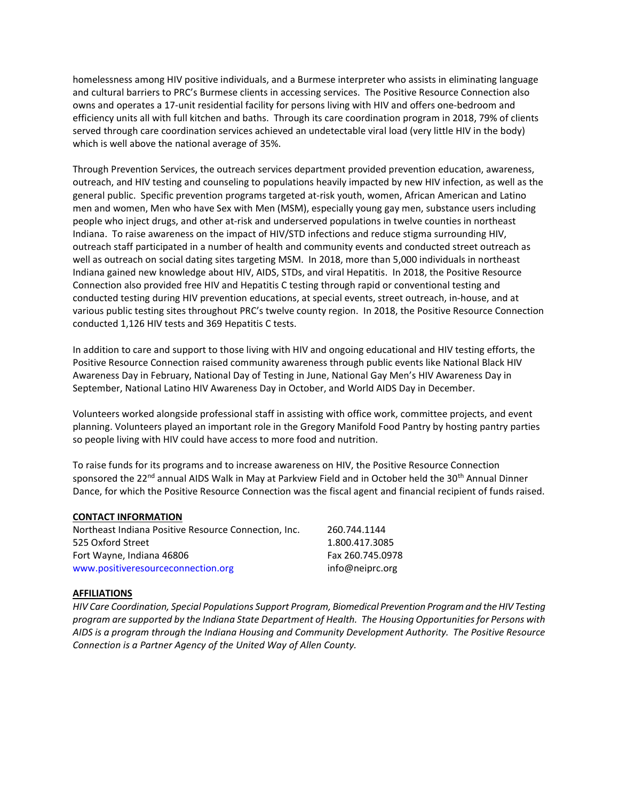homelessness among HIV positive individuals, and a Burmese interpreter who assists in eliminating language and cultural barriers to PRC's Burmese clients in accessing services. The Positive Resource Connection also owns and operates a 17-unit residential facility for persons living with HIV and offers one-bedroom and efficiency units all with full kitchen and baths. Through its care coordination program in 2018, 79% of clients served through care coordination services achieved an undetectable viral load (very little HIV in the body) which is well above the national average of 35%.

Through Prevention Services, the outreach services department provided prevention education, awareness, outreach, and HIV testing and counseling to populations heavily impacted by new HIV infection, as well as the general public. Specific prevention programs targeted at-risk youth, women, African American and Latino men and women, Men who have Sex with Men (MSM), especially young gay men, substance users including people who inject drugs, and other at-risk and underserved populations in twelve counties in northeast Indiana. To raise awareness on the impact of HIV/STD infections and reduce stigma surrounding HIV, outreach staff participated in a number of health and community events and conducted street outreach as well as outreach on social dating sites targeting MSM. In 2018, more than 5,000 individuals in northeast Indiana gained new knowledge about HIV, AIDS, STDs, and viral Hepatitis. In 2018, the Positive Resource Connection also provided free HIV and Hepatitis C testing through rapid or conventional testing and conducted testing during HIV prevention educations, at special events, street outreach, in-house, and at various public testing sites throughout PRC's twelve county region. In 2018, the Positive Resource Connection conducted 1,126 HIV tests and 369 Hepatitis C tests.

In addition to care and support to those living with HIV and ongoing educational and HIV testing efforts, the Positive Resource Connection raised community awareness through public events like National Black HIV Awareness Day in February, National Day of Testing in June, National Gay Men's HIV Awareness Day in September, National Latino HIV Awareness Day in October, and World AIDS Day in December.

Volunteers worked alongside professional staff in assisting with office work, committee projects, and event planning. Volunteers played an important role in the Gregory Manifold Food Pantry by hosting pantry parties so people living with HIV could have access to more food and nutrition.

To raise funds for its programs and to increase awareness on HIV, the Positive Resource Connection sponsored the 22<sup>nd</sup> annual AIDS Walk in May at Parkview Field and in October held the 30<sup>th</sup> Annual Dinner Dance, for which the Positive Resource Connection was the fiscal agent and financial recipient of funds raised.

### CONTACT INFORMATION

| Northeast Indiana Positive Resource Connection, Inc. | 260.744.1144     |
|------------------------------------------------------|------------------|
| 525 Oxford Street                                    | 1.800.417.3085   |
| Fort Wayne, Indiana 46806                            | Fax 260.745.0978 |
| www.positiveresourceconnection.org                   | info@neiprc.org  |

### AFFILIATIONS

HIV Care Coordination, Special Populations Support Program, Biomedical Prevention Program and the HIV Testing program are supported by the Indiana State Department of Health. The Housing Opportunities for Persons with AIDS is a program through the Indiana Housing and Community Development Authority. The Positive Resource Connection is a Partner Agency of the United Way of Allen County.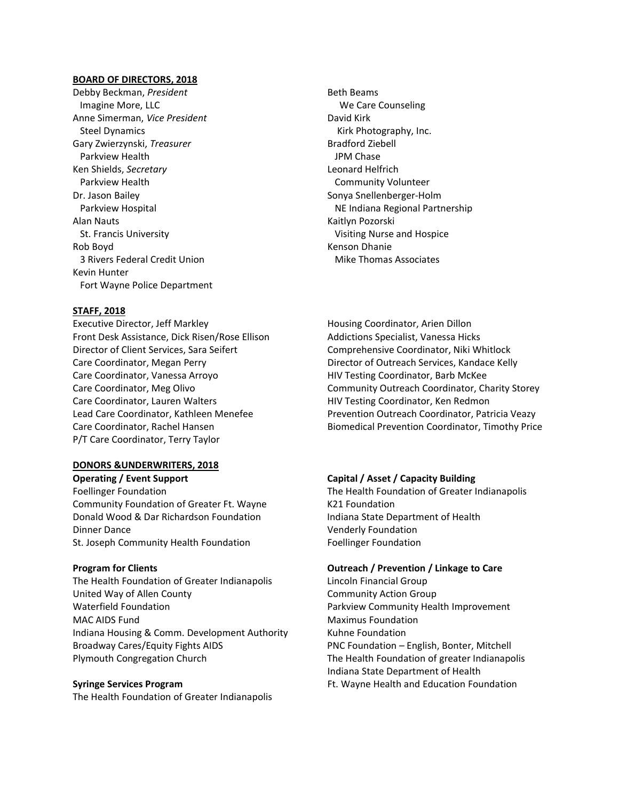#### BOARD OF DIRECTORS, 2018

Debby Beckman, President Imagine More, LLC Anne Simerman, Vice President Steel Dynamics Gary Zwierzynski, Treasurer Parkview Health Ken Shields, Secretary Parkview Health Dr. Jason Bailey Parkview Hospital Alan Nauts St. Francis University Rob Boyd 3 Rivers Federal Credit Union Kevin Hunter Fort Wayne Police Department

### STAFF, 2018

Executive Director, Jeff Markley Front Desk Assistance, Dick Risen/Rose Ellison Director of Client Services, Sara Seifert Care Coordinator, Megan Perry Care Coordinator, Vanessa Arroyo Care Coordinator, Meg Olivo Care Coordinator, Lauren Walters Lead Care Coordinator, Kathleen Menefee Care Coordinator, Rachel Hansen P/T Care Coordinator, Terry Taylor

### DONORS &UNDERWRITERS, 2018

Operating / Event Support Capital / Asset / Capacity Building Community Foundation of Greater Ft. Wayne K21 Foundation Donald Wood & Dar Richardson Foundation Indiana State Department of Health Dinner Dance **Venderly Foundation** St. Joseph Community Health Foundation Foundation Foellinger Foundation

The Health Foundation of Greater Indianapolis Lincoln Financial Group United Way of Allen County **Community Action Group** Waterfield Foundation Parkview Community Health Improvement MAC AIDS Fund Maximus Foundation Indiana Housing & Comm. Development Authority Kuhne Foundation Broadway Cares/Equity Fights AIDS PNC Foundation – English, Bonter, Mitchell Plymouth Congregation Church The Health Foundation of greater Indianapolis

The Health Foundation of Greater Indianapolis

Beth Beams We Care Counseling David Kirk Kirk Photography, Inc. Bradford Ziebell JPM Chase Leonard Helfrich Community Volunteer Sonya Snellenberger-Holm NE Indiana Regional Partnership Kaitlyn Pozorski Visiting Nurse and Hospice Kenson Dhanie Mike Thomas Associates

Housing Coordinator, Arien Dillon Addictions Specialist, Vanessa Hicks Comprehensive Coordinator, Niki Whitlock Director of Outreach Services, Kandace Kelly HIV Testing Coordinator, Barb McKee Community Outreach Coordinator, Charity Storey HIV Testing Coordinator, Ken Redmon Prevention Outreach Coordinator, Patricia Veazy Biomedical Prevention Coordinator, Timothy Price

Foellinger Foundation The Health Foundation of Greater Indianapolis

#### Program for Clients Outreach / Prevention / Linkage to Care

 Indiana State Department of Health Syringe Services Program **Fig. 2018** Ft. Wayne Health and Education Foundation Foundation